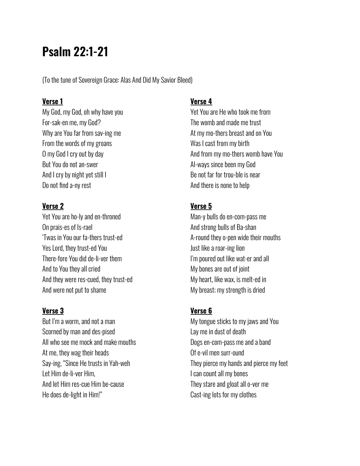# **Psalm 22:1-21**

(To the tune of Sovereign Grace: Alas And Did My Savior Bleed)

#### **Verse 1**

My God, my God, oh why have you For-sak-en me, my God? Why are You far from sav-ing me From the words of my groans O my God I cry out by day But You do not an-swer And I cry by night yet still I Do not find a-ny rest

## **Verse 2**

Yet You are ho-ly and en-throned On prais-es of Is-rael 'Twas in You our fa-thers trust-ed Yes Lord, they trust-ed You There-fore You did de-li-ver them And to You they all cried And they were res-cued, they trust-ed And were not put to shame

#### **Verse 3**

But I'm a worm, and not a man Scorned by man and des-pised All who see me mock and make mouths At me, they wag their heads Say-ing, "Since He trusts in Yah-weh Let Him de-li-ver Him, And let Him res-cue Him be-cause He does de-light in Him!"

#### **Verse 4**

Yet You are He who took me from The womb and made me trust At my mo-thers breast and on You Was I cast from my birth And from my mo-thers womb have You Al-ways since been my God Be not far for trou-ble is near And there is none to help

## **Verse 5**

Man-y bulls do en-com-pass me And strong bulls of Ba-shan A-round they o-pen wide their mouths Just like a roar-ing lion I'm poured out like wat-er and all My bones are out of joint My heart, like wax, is melt-ed in My breast; my strength is dried

#### **Verse 6**

My tongue sticks to my jaws and You Lay me in dust of death Dogs en-com-pass me and a band Of e-vil men surr-ound They pierce my hands and pierce my feet I can count all my bones They stare and gloat all o-ver me Cast-ing lots for my clothes